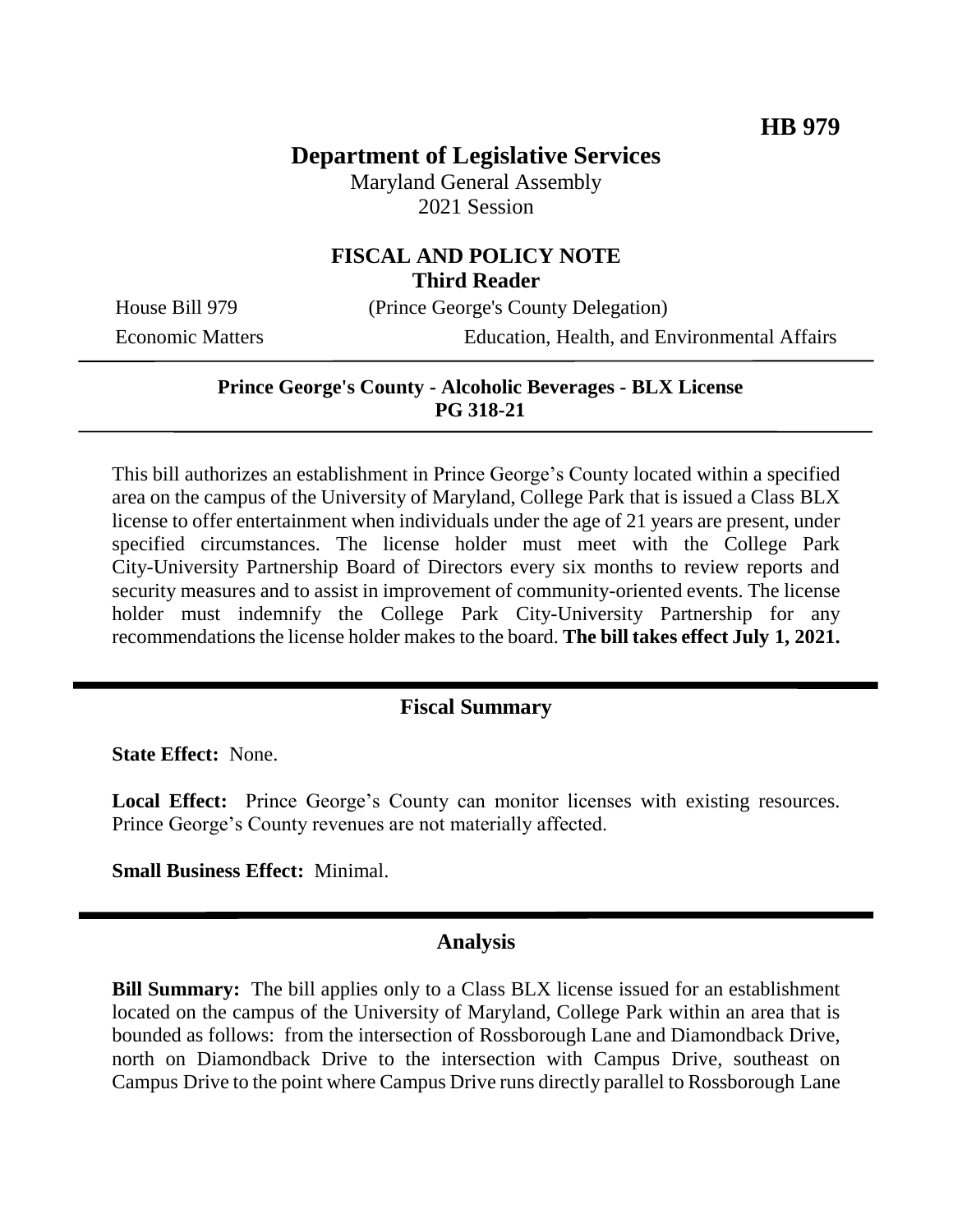# **Department of Legislative Services**

Maryland General Assembly 2021 Session

## **FISCAL AND POLICY NOTE Third Reader**

House Bill 979 (Prince George's County Delegation)

Economic Matters Education, Health, and Environmental Affairs

#### **Prince George's County - Alcoholic Beverages - BLX License PG 318-21**

This bill authorizes an establishment in Prince George's County located within a specified area on the campus of the University of Maryland, College Park that is issued a Class BLX license to offer entertainment when individuals under the age of 21 years are present, under specified circumstances. The license holder must meet with the College Park City-University Partnership Board of Directors every six months to review reports and security measures and to assist in improvement of community-oriented events. The license holder must indemnify the College Park City-University Partnership for any recommendations the license holder makes to the board. **The bill takes effect July 1, 2021.**

### **Fiscal Summary**

**State Effect:** None.

Local Effect: Prince George's County can monitor licenses with existing resources. Prince George's County revenues are not materially affected.

**Small Business Effect:** Minimal.

#### **Analysis**

**Bill Summary:** The bill applies only to a Class BLX license issued for an establishment located on the campus of the University of Maryland, College Park within an area that is bounded as follows: from the intersection of Rossborough Lane and Diamondback Drive, north on Diamondback Drive to the intersection with Campus Drive, southeast on Campus Drive to the point where Campus Drive runs directly parallel to Rossborough Lane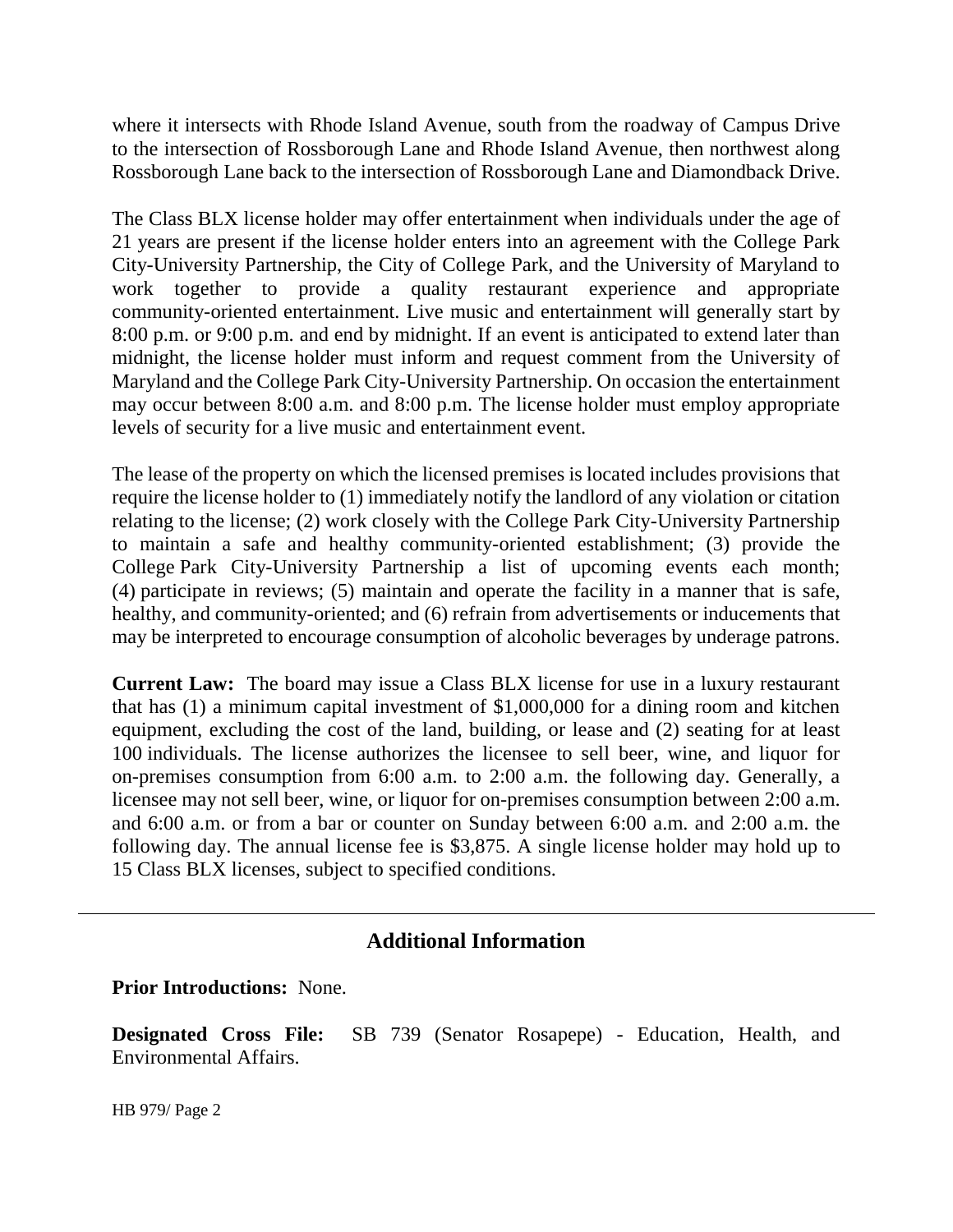where it intersects with Rhode Island Avenue, south from the roadway of Campus Drive to the intersection of Rossborough Lane and Rhode Island Avenue, then northwest along Rossborough Lane back to the intersection of Rossborough Lane and Diamondback Drive.

The Class BLX license holder may offer entertainment when individuals under the age of 21 years are present if the license holder enters into an agreement with the College Park City-University Partnership, the City of College Park, and the University of Maryland to work together to provide a quality restaurant experience and appropriate community-oriented entertainment. Live music and entertainment will generally start by 8:00 p.m. or 9:00 p.m. and end by midnight. If an event is anticipated to extend later than midnight, the license holder must inform and request comment from the University of Maryland and the College Park City-University Partnership. On occasion the entertainment may occur between 8:00 a.m. and 8:00 p.m. The license holder must employ appropriate levels of security for a live music and entertainment event.

The lease of the property on which the licensed premises is located includes provisions that require the license holder to (1) immediately notify the landlord of any violation or citation relating to the license; (2) work closely with the College Park City-University Partnership to maintain a safe and healthy community-oriented establishment; (3) provide the College Park City-University Partnership a list of upcoming events each month; (4) participate in reviews; (5) maintain and operate the facility in a manner that is safe, healthy, and community-oriented; and (6) refrain from advertisements or inducements that may be interpreted to encourage consumption of alcoholic beverages by underage patrons.

**Current Law:** The board may issue a Class BLX license for use in a luxury restaurant that has (1) a minimum capital investment of \$1,000,000 for a dining room and kitchen equipment, excluding the cost of the land, building, or lease and (2) seating for at least 100 individuals. The license authorizes the licensee to sell beer, wine, and liquor for on-premises consumption from 6:00 a.m. to 2:00 a.m. the following day. Generally, a licensee may not sell beer, wine, or liquor for on-premises consumption between 2:00 a.m. and 6:00 a.m. or from a bar or counter on Sunday between 6:00 a.m. and 2:00 a.m. the following day. The annual license fee is \$3,875. A single license holder may hold up to 15 Class BLX licenses, subject to specified conditions.

### **Additional Information**

**Prior Introductions:** None.

**Designated Cross File:** SB 739 (Senator Rosapepe) - Education, Health, and Environmental Affairs.